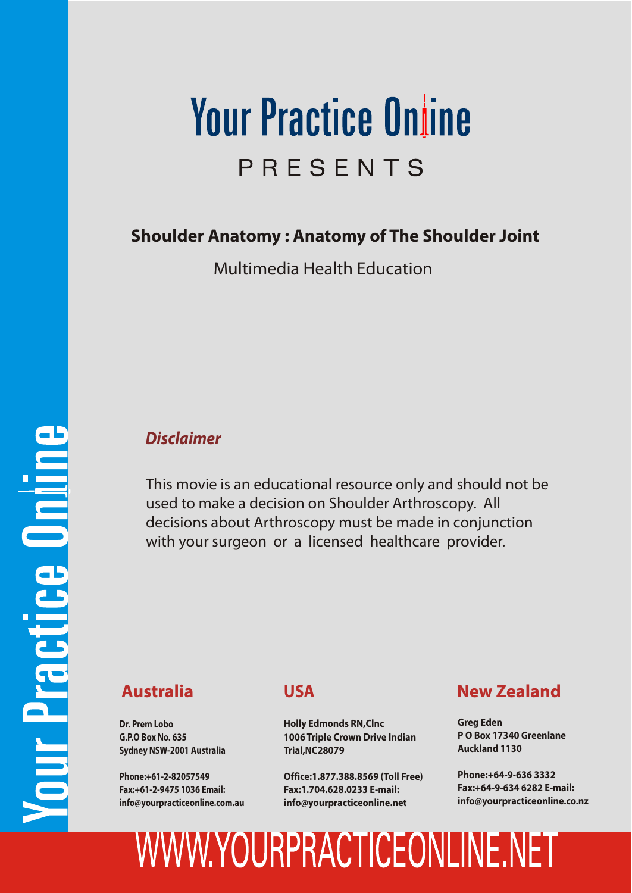# **Your Practice Online** PRESENTS

**Shoulder Anatomy : Anatomy of The Shoulder Joint**

Multimedia Health Education

#### *Disclaimer*

This movie is an educational resource only and should not be used to make a decision on Shoulder Arthroscopy. All decisions about Arthroscopy must be made in conjunction with your surgeon or a licensed healthcare provider.

**Dr. Prem Lobo G.P.O Box No. 635 Sydney NSW-2001 Australia**

**Phone:+61-2-82057549 Fax:+61-2-9475 1036 Email: info@yourpracticeonline.com.au**

#### **USA**

**Holly Edmonds RN,Clnc 1006 Triple Crown Drive Indian Trial,NC28079**

**Office:1.877.388.8569 (Toll Free) Fax:1.704.628.0233 E-mail: info@yourpracticeonline.net**

#### **Australia New Zealand**

**Greg Eden P O Box 17340 Greenlane Auckland 1130**

**Phone:+64-9-636 3332 Fax:+64-9-634 6282 E-mail: info@yourpracticeonline.co.nz**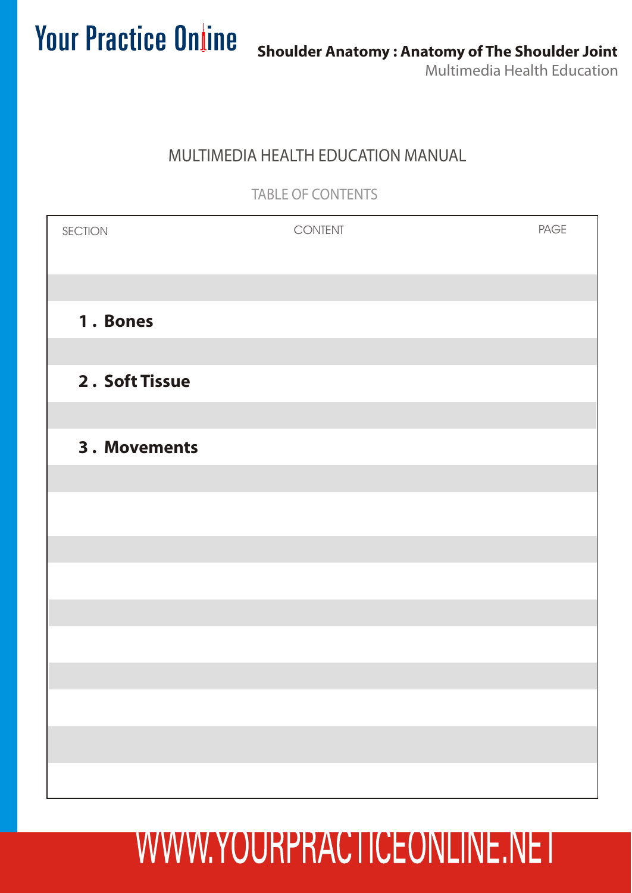#### MULTIMEDIA HEALTH EDUCATION MANUAL

TABLE OF CONTENTS

| SECTION        | CONTENT | PAGE |
|----------------|---------|------|
|                |         |      |
| 1. Bones       |         |      |
|                |         |      |
| 2. Soft Tissue |         |      |
|                |         |      |
| 3. Movements   |         |      |
|                |         |      |
|                |         |      |
|                |         |      |
|                |         |      |
|                |         |      |
|                |         |      |
|                |         |      |
|                |         |      |
|                |         |      |
|                |         |      |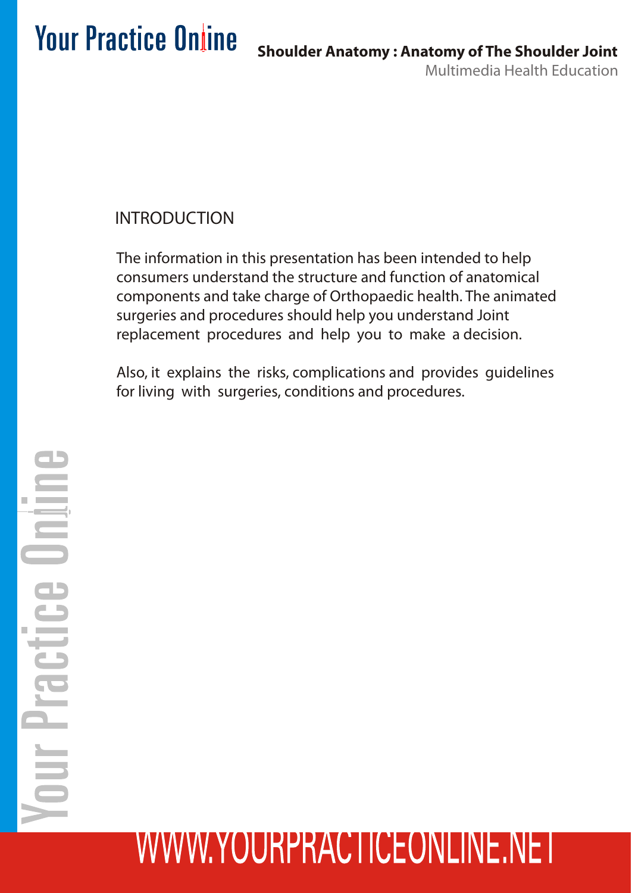#### INTRODUCTION

The information in this presentation has been intended to help consumers understand the structure and function of anatomical components and take charge of Orthopaedic health. The animated surgeries and procedures should help you understand Joint replacement procedures and help you to make a decision.

Also, it explains the risks, complications and provides guidelines for living with surgeries, conditions and procedures.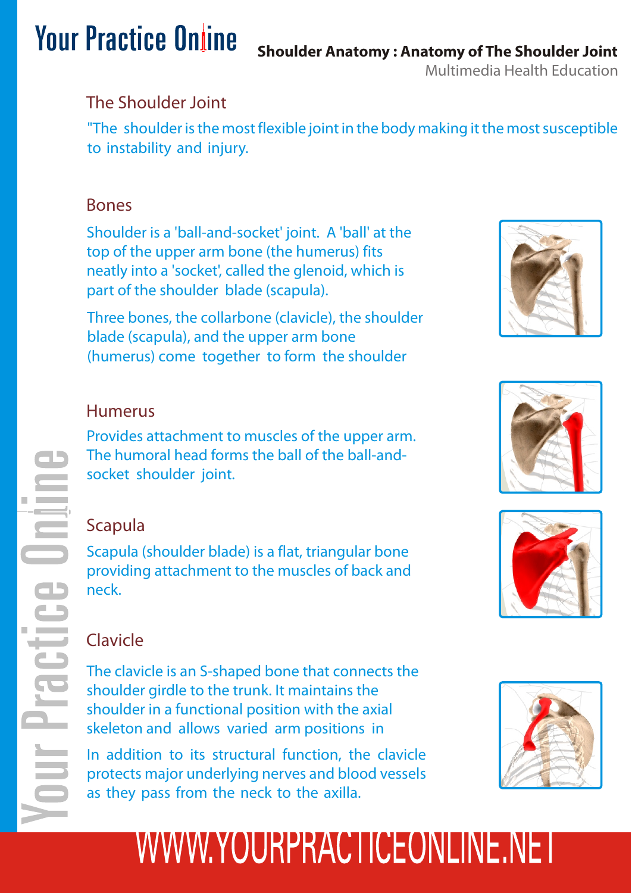### **Shoulder Anatomy : Anatomy of The Shoulder Joint**

Multimedia Health Education

#### The Shoulder Joint

"The shoulder is the most flexible joint in the body making it the most susceptible to instability and injury.

#### Bones

Shoulder is a 'ball-and-socket' joint. A 'ball' at the top of the upper arm bone (the humerus) fits neatly into a 'socket', called the glenoid, which is part of the shoulder blade (scapula).

Three bones, the collarbone (clavicle), the shoulder blade (scapula), and the upper arm bone (humerus) come together to form the shoulder

#### Humerus

Provides attachment to muscles of the upper arm. The humoral head forms the ball of the ball-andsocket shoulder joint.

#### Scapula

Scapula (shoulder blade) is a flat, triangular bone providing attachment to the muscles of back and neck.

#### Clavicle

The clavicle is an S-shaped bone that connects the shoulder girdle to the trunk. It maintains the shoulder in a functional position with the axial skeleton and allows varied arm positions in

In addition to its structural function, the clavicle protects major underlying nerves and blood vessels as they pass from the neck to the axilla.







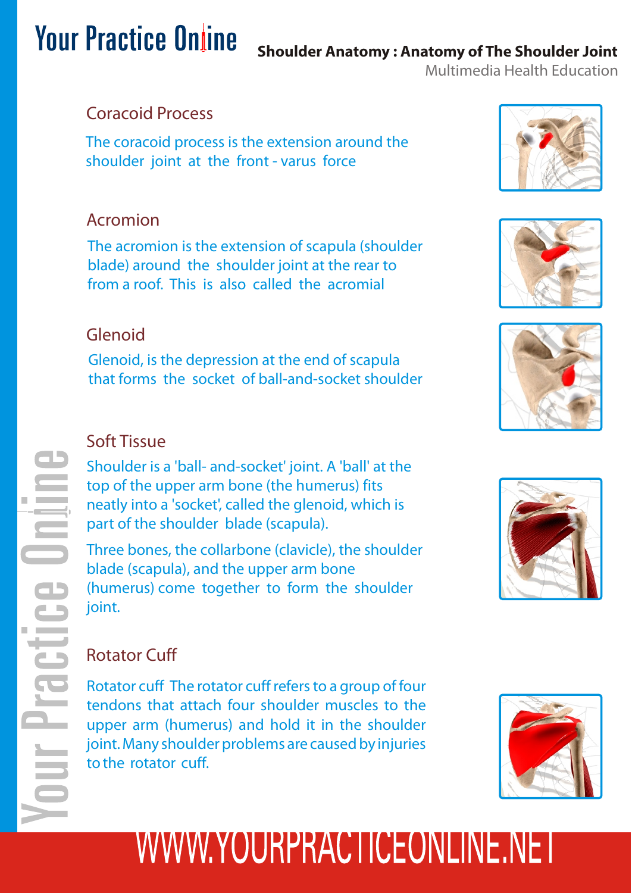#### **Shoulder Anatomy : Anatomy of The Shoulder Joint**

Multimedia Health Education

#### Coracoid Process

The coracoid process is the extension around the shoulder joint at the front - varus force

#### Acromion

The acromion is the extension of scapula (shoulder blade) around the shoulder joint at the rear to from a roof. This is also called the acromial

#### Glenoid

Glenoid, is the depression at the end of scapula that forms the socket of ball-and-socket shoulder

#### Soft Tissue

Shoulder is a 'ball- and-socket' joint. A 'ball' at the top of the upper arm bone (the humerus) fits neatly into a 'socket', called the glenoid, which is part of the shoulder blade (scapula).

Three bones, the collarbone (clavicle), the shoulder blade (scapula), and the upper arm bone (humerus) come together to form the shoulder joint.









#### Rotator Cuff

Rotator cuff The rotator cuff refers to a group of four tendons that attach four shoulder muscles to the upper arm (humerus) and hold it in the shoulder joint. Many shoulder problems are caused by injuries to the rotator cuff.

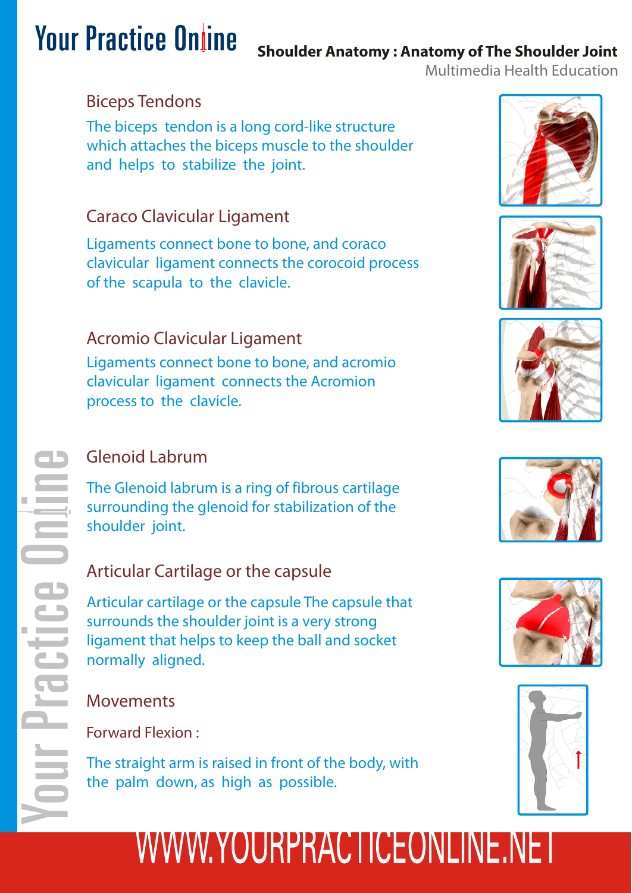#### **Shoulder Anatomy : Anatomy of The Shoulder Joint**

Multimedia Health Education

#### Biceps Tendons

The biceps tendon is a long cord-like structure which attaches the biceps muscle to the shoulder and helps to stabilize the joint.

#### Caraco Clavicular Ligament

Ligaments connect bone to bone, and coraco clavicular ligament connects the corocoid process of the scapula to the clavicle.

#### Acromio Clavicular Ligament

Ligaments connect bone to bone, and acromio clavicular ligament connects the Acromion process to the clavicle.

#### Glenoid Labrum

The Glenoid labrum is a ring of fibrous cartilage surrounding the glenoid for stabilization of the shoulder joint.

#### Articular Cartilage or the capsule

Articular cartilage or the capsule The capsule that surrounds the shoulder joint is a very strong ligament that helps to keep the ball and socket normally aligned.

#### Movements

Forward Flexion :

The straight arm is raised in front of the body, with the palm down, as high as possible.











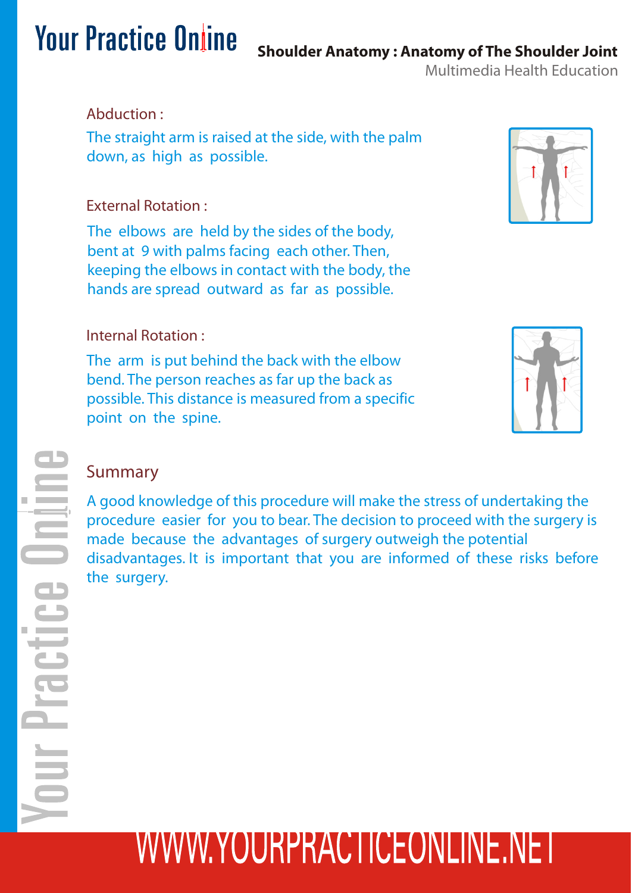Multimedia Health Education **Shoulder Anatomy : Anatomy of The Shoulder Joint**

#### Abduction :

The straight arm is raised at the side, with the palm down, as high as possible.

#### External Rotation :

The elbows are held by the sides of the body, bent at 9 with palms facing each other. Then, keeping the elbows in contact with the body, the hands are spread outward as far as possible.

#### Internal Rotation :

The arm is put behind the back with the elbow bend. The person reaches as far up the back as possible. This distance is measured from a specific point on the spine.



#### Summary

A good knowledge of this procedure will make the stress of undertaking the procedure easier for you to bear. The decision to proceed with the surgery is made because the advantages of surgery outweigh the potential disadvantages. It is important that you are informed of these risks before the surgery.